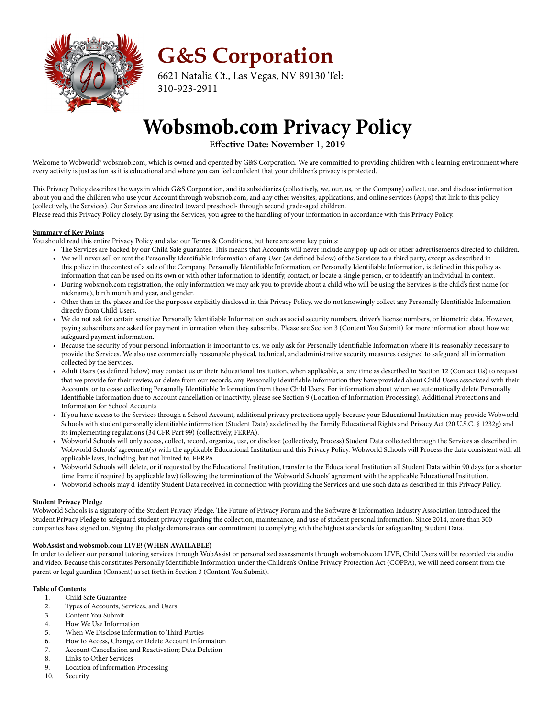

**G&S Corporation** 

6621 Natalia Ct., Las Vegas, NV 89130 Tel: 310-923-2911

# **Wobsmob.com Privacy Policy**

**Effective Date: November 1, 2019**

Welcome to Wobworld® wobsmob.com, which is owned and operated by G&S Corporation. We are committed to providing children with a learning environment where every activity is just as fun as it is educational and where you can feel confident that your children's privacy is protected.

This Privacy Policy describes the ways in which G&S Corporation, and its subsidiaries (collectively, we, our, us, or the Company) collect, use, and disclose information about you and the children who use your Account through wobsmob.com, and any other websites, applications, and online services (Apps) that link to this policy (collectively, the Services). Our Services are directed toward preschool- through second grade-aged children.

Please read this Privacy Policy closely. By using the Services, you agree to the handling of your information in accordance with this Privacy Policy.

# **Summary of Key Points**

You should read this entire Privacy Policy and also our Terms & Conditions, but here are some key points:

- The Services are backed by our Child Safe guarantee. This means that Accounts will never include any pop-up ads or other advertisements directed to children. • We will never sell or rent the Personally Identifiable Information of any User (as defined below) of the Services to a third party, except as described in this policy in the context of a sale of the Company. Personally Identifiable Information, or Personally Identifiable Information, is defined in this policy as
- information that can be used on its own or with other information to identify, contact, or locate a single person, or to identify an individual in context. • During wobsmob.com registration, the only information we may ask you to provide about a child who will be using the Services is the child's first name (or
- nickname), birth month and year, and gender. • Other than in the places and for the purposes explicitly disclosed in this Privacy Policy, we do not knowingly collect any Personally Identifiable Information
- directly from Child Users. • We do not ask for certain sensitive Personally Identifiable Information such as social security numbers, driver's license numbers, or biometric data. However, paying subscribers are asked for payment information when they subscribe. Please see Section 3 (Content You Submit) for more information about how we
- safeguard payment information. • Because the security of your personal information is important to us, we only ask for Personally Identifiable Information where it is reasonably necessary to provide the Services. We also use commercially reasonable physical, technical, and administrative security measures designed to safeguard all information
- collected by the Services. • Adult Users (as defined below) may contact us or their Educational Institution, when applicable, at any time as described in Section 12 (Contact Us) to request that we provide for their review, or delete from our records, any Personally Identifiable Information they have provided about Child Users associated with their Accounts, or to cease collecting Personally Identifiable Information from those Child Users. For information about when we automatically delete Personally Identifiable Information due to Account cancellation or inactivity, please see Section 9 (Location of Information Processing). Additional Protections and Information for School Accounts
- If you have access to the Services through a School Account, additional privacy protections apply because your Educational Institution may provide Wobworld Schools with student personally identifiable information (Student Data) as defined by the Family Educational Rights and Privacy Act (20 U.S.C. § 1232g) and its implementing regulations (34 CFR Part 99) (collectively, FERPA).
- Wobworld Schools will only access, collect, record, organize, use, or disclose (collectively, Process) Student Data collected through the Services as described in Wobworld Schools' agreement(s) with the applicable Educational Institution and this Privacy Policy. Wobworld Schools will Process the data consistent with all applicable laws, including, but not limited to, FERPA.
- Wobworld Schools will delete, or if requested by the Educational Institution, transfer to the Educational Institution all Student Data within 90 days (or a shorter time frame if required by applicable law) following the termination of the Wobworld Schools' agreement with the applicable Educational Institution.
- Wobworld Schools may d-identify Student Data received in connection with providing the Services and use such data as described in this Privacy Policy.

# **Student Privacy Pledge**

Wobworld Schools is a signatory of the Student Privacy Pledge. The Future of Privacy Forum and the Software & Information Industry Association introduced the Student Privacy Pledge to safeguard student privacy regarding the collection, maintenance, and use of student personal information. Since 2014, more than 300 companies have signed on. Signing the pledge demonstrates our commitment to complying with the highest standards for safeguarding Student Data.

#### **WobAssist and wobsmob.com LIVE! (WHEN AVAILABLE)**

In order to deliver our personal tutoring services through WobAssist or personalized assessments through wobsmob.com LIVE, Child Users will be recorded via audio and video. Because this constitutes Personally Identifiable Information under the Children's Online Privacy Protection Act (COPPA), we will need consent from the parent or legal guardian (Consent) as set forth in Section 3 (Content You Submit).

# **Table of Contents**

- 1. Child Safe Guarantee<br>2. Types of Accounts. Se
- 2. Types of Accounts, Services, and Users
- 3. Content You Submit
- 4. How We Use Information
- 5. When We Disclose Information to Third Parties
- 6. How to Access, Change, or Delete Account Information
- 7. Account Cancellation and Reactivation; Data Deletion
- 
- 8. Links to Other Services<br>9. Location of Information Location of Information Processing
- 10. Security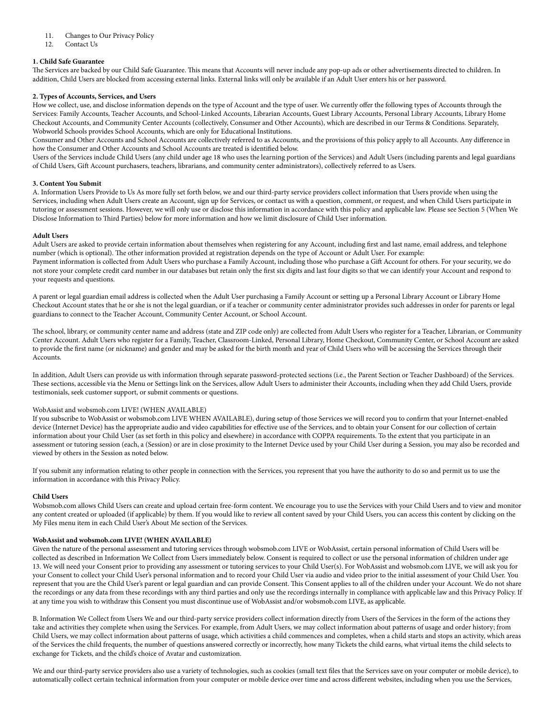#### 11. Changes to Our Privacy Policy

12. Contact Us

# **1. Child Safe Guarantee**

The Services are backed by our Child Safe Guarantee. This means that Accounts will never include any pop-up ads or other advertisements directed to children. In addition, Child Users are blocked from accessing external links. External links will only be available if an Adult User enters his or her password.

# **2. Types of Accounts, Services, and Users**

How we collect, use, and disclose information depends on the type of Account and the type of user. We currently offer the following types of Accounts through the Services: Family Accounts, Teacher Accounts, and School-Linked Accounts, Librarian Accounts, Guest Library Accounts, Personal Library Accounts, Library Home Checkout Accounts, and Community Center Accounts (collectively, Consumer and Other Accounts), which are described in our Terms & Conditions. Separately, Wobworld Schools provides School Accounts, which are only for Educational Institutions.

Consumer and Other Accounts and School Accounts are collectively referred to as Accounts, and the provisions of this policy apply to all Accounts. Any difference in how the Consumer and Other Accounts and School Accounts are treated is identified below.

Users of the Services include Child Users (any child under age 18 who uses the learning portion of the Services) and Adult Users (including parents and legal guardians of Child Users, Gift Account purchasers, teachers, librarians, and community center administrators), collectively referred to as Users.

#### **3. Content You Submit**

A. Information Users Provide to Us As more fully set forth below, we and our third-party service providers collect information that Users provide when using the Services, including when Adult Users create an Account, sign up for Services, or contact us with a question, comment, or request, and when Child Users participate in tutoring or assessment sessions. However, we will only use or disclose this information in accordance with this policy and applicable law. Please see Section 5 (When We Disclose Information to Third Parties) below for more information and how we limit disclosure of Child User information.

# **Adult Users**

Adult Users are asked to provide certain information about themselves when registering for any Account, including first and last name, email address, and telephone number (which is optional). The other information provided at registration depends on the type of Account or Adult User. For example: Payment information is collected from Adult Users who purchase a Family Account, including those who purchase a Gift Account for others. For your security, we do not store your complete credit card number in our databases but retain only the first six digits and last four digits so that we can identify your Account and respond to your requests and questions.

A parent or legal guardian email address is collected when the Adult User purchasing a Family Account or setting up a Personal Library Account or Library Home Checkout Account states that he or she is not the legal guardian, or if a teacher or community center administrator provides such addresses in order for parents or legal guardians to connect to the Teacher Account, Community Center Account, or School Account.

The school, library, or community center name and address (state and ZIP code only) are collected from Adult Users who register for a Teacher, Librarian, or Community Center Account. Adult Users who register for a Family, Teacher, Classroom-Linked, Personal Library, Home Checkout, Community Center, or School Account are asked to provide the first name (or nickname) and gender and may be asked for the birth month and year of Child Users who will be accessing the Services through their Accounts.

In addition, Adult Users can provide us with information through separate password-protected sections (i.e., the Parent Section or Teacher Dashboard) of the Services. These sections, accessible via the Menu or Settings link on the Services, allow Adult Users to administer their Accounts, including when they add Child Users, provide testimonials, seek customer support, or submit comments or questions.

#### WobAssist and wobsmob.com LIVE! (WHEN AVAILABLE)

If you subscribe to WobAssist or wobsmob.com LIVE WHEN AVAILABLE), during setup of those Services we will record you to confirm that your Internet-enabled device (Internet Device) has the appropriate audio and video capabilities for effective use of the Services, and to obtain your Consent for our collection of certain information about your Child User (as set forth in this policy and elsewhere) in accordance with COPPA requirements. To the extent that you participate in an assessment or tutoring session (each, a (Session) or are in close proximity to the Internet Device used by your Child User during a Session, you may also be recorded and viewed by others in the Session as noted below.

If you submit any information relating to other people in connection with the Services, you represent that you have the authority to do so and permit us to use the information in accordance with this Privacy Policy.

#### **Child Users**

Wobsmob.com allows Child Users can create and upload certain free-form content. We encourage you to use the Services with your Child Users and to view and monitor any content created or uploaded (if applicable) by them. If you would like to review all content saved by your Child Users, you can access this content by clicking on the My Files menu item in each Child User's About Me section of the Services.

#### **WobAssist and wobsmob.com LIVE! (WHEN AVAILABLE)**

Given the nature of the personal assessment and tutoring services through wobsmob.com LIVE or WobAssist, certain personal information of Child Users will be collected as described in Information We Collect from Users immediately below. Consent is required to collect or use the personal information of children under age 13. We will need your Consent prior to providing any assessment or tutoring services to your Child User(s). For WobAssist and wobsmob.com LIVE, we will ask you for your Consent to collect your Child User's personal information and to record your Child User via audio and video prior to the initial assessment of your Child User. You represent that you are the Child User's parent or legal guardian and can provide Consent. This Consent applies to all of the children under your Account. We do not share the recordings or any data from these recordings with any third parties and only use the recordings internally in compliance with applicable law and this Privacy Policy. If at any time you wish to withdraw this Consent you must discontinue use of WobAssist and/or wobsmob.com LIVE, as applicable.

B. Information We Collect from Users We and our third-party service providers collect information directly from Users of the Services in the form of the actions they take and activities they complete when using the Services. For example, from Adult Users, we may collect information about patterns of usage and order history; from Child Users, we may collect information about patterns of usage, which activities a child commences and completes, when a child starts and stops an activity, which areas of the Services the child frequents, the number of questions answered correctly or incorrectly, how many Tickets the child earns, what virtual items the child selects to exchange for Tickets, and the child's choice of Avatar and customization.

We and our third-party service providers also use a variety of technologies, such as cookies (small text files that the Services save on your computer or mobile device), to automatically collect certain technical information from your computer or mobile device over time and across different websites, including when you use the Services,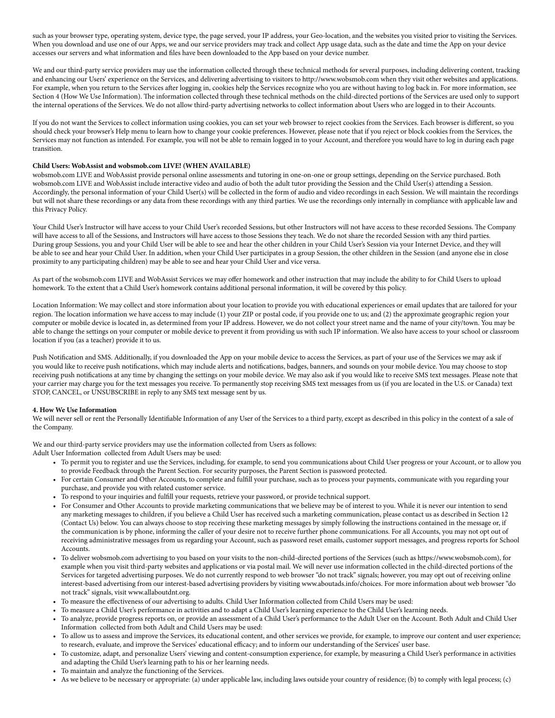such as your browser type, operating system, device type, the page served, your IP address, your Geo-location, and the websites you visited prior to visiting the Services. When you download and use one of our Apps, we and our service providers may track and collect App usage data, such as the date and time the App on your device accesses our servers and what information and files have been downloaded to the App based on your device number.

We and our third-party service providers may use the information collected through these technical methods for several purposes, including delivering content, tracking and enhancing our Users' experience on the Services, and delivering advertising to visitors to http://www.wobsmob.com when they visit other websites and applications. For example, when you return to the Services after logging in, cookies help the Services recognize who you are without having to log back in. For more information, see Section 4 (How We Use Information). The information collected through these technical methods on the child-directed portions of the Services are used only to support the internal operations of the Services. We do not allow third-party advertising networks to collect information about Users who are logged in to their Accounts.

If you do not want the Services to collect information using cookies, you can set your web browser to reject cookies from the Services. Each browser is different, so you should check your browser's Help menu to learn how to change your cookie preferences. However, please note that if you reject or block cookies from the Services, the Services may not function as intended. For example, you will not be able to remain logged in to your Account, and therefore you would have to log in during each page transition.

# **Child Users: WobAssist and wobsmob.com LIVE! (WHEN AVAILABLE)**

wobsmob.com LIVE and WobAssist provide personal online assessments and tutoring in one-on-one or group settings, depending on the Service purchased. Both wobsmob.com LIVE and WobAssist include interactive video and audio of both the adult tutor providing the Session and the Child User(s) attending a Session. Accordingly, the personal information of your Child User(s) will be collected in the form of audio and video recordings in each Session. We will maintain the recordings but will not share these recordings or any data from these recordings with any third parties. We use the recordings only internally in compliance with applicable law and this Privacy Policy.

Your Child User's Instructor will have access to your Child User's recorded Sessions, but other Instructors will not have access to these recorded Sessions. The Company will have access to all of the Sessions, and Instructors will have access to those Sessions they teach. We do not share the recorded Session with any third parties. During group Sessions, you and your Child User will be able to see and hear the other children in your Child User's Session via your Internet Device, and they will be able to see and hear your Child User. In addition, when your Child User participates in a group Session, the other children in the Session (and anyone else in close proximity to any participating children) may be able to see and hear your Child User and vice versa.

As part of the wobsmob.com LIVE and WobAssist Services we may offer homework and other instruction that may include the ability to for Child Users to upload homework. To the extent that a Child User's homework contains additional personal information, it will be covered by this policy.

Location Information: We may collect and store information about your location to provide you with educational experiences or email updates that are tailored for your region. The location information we have access to may include (1) your ZIP or postal code, if you provide one to us; and (2) the approximate geographic region your computer or mobile device is located in, as determined from your IP address. However, we do not collect your street name and the name of your city/town. You may be able to change the settings on your computer or mobile device to prevent it from providing us with such IP information. We also have access to your school or classroom location if you (as a teacher) provide it to us.

Push Notification and SMS. Additionally, if you downloaded the App on your mobile device to access the Services, as part of your use of the Services we may ask if you would like to receive push notifications, which may include alerts and notifications, badges, banners, and sounds on your mobile device. You may choose to stop receiving push notifications at any time by changing the settings on your mobile device. We may also ask if you would like to receive SMS text messages. Please note that your carrier may charge you for the text messages you receive. To permanently stop receiving SMS text messages from us (if you are located in the U.S. or Canada) text STOP, CANCEL, or UNSUBSCRIBE in reply to any SMS text message sent by us.

# **4. How We Use Information**

We will never sell or rent the Personally Identifiable Information of any User of the Services to a third party, except as described in this policy in the context of a sale of the Company.

We and our third-party service providers may use the information collected from Users as follows:

Adult User Information collected from Adult Users may be used:

- To permit you to register and use the Services, including, for example, to send you communications about Child User progress or your Account, or to allow you to provide Feedback through the Parent Section. For security purposes, the Parent Section is password protected.
- For certain Consumer and Other Accounts, to complete and fulfill your purchase, such as to process your payments, communicate with you regarding your purchase, and provide you with related customer service.
- To respond to your inquiries and fulfill your requests, retrieve your password, or provide technical support.
- For Consumer and Other Accounts to provide marketing communications that we believe may be of interest to you. While it is never our intention to send any marketing messages to children, if you believe a Child User has received such a marketing communication, please contact us as described in Section 12 (Contact Us) below. You can always choose to stop receiving these marketing messages by simply following the instructions contained in the message or, if the communication is by phone, informing the caller of your desire not to receive further phone communications. For all Accounts, you may not opt out of receiving administrative messages from us regarding your Account, such as password reset emails, customer support messages, and progress reports for School Accounts.
- To deliver wobsmob.com advertising to you based on your visits to the non-child-directed portions of the Services (such as https://www.wobsmob.com), for example when you visit third-party websites and applications or via postal mail. We will never use information collected in the child-directed portions of the Services for targeted advertising purposes. We do not currently respond to web browser "do not track" signals; however, you may opt out of receiving online interest-based advertising from our interest-based advertising providers by visiting www.aboutads.info/choices. For more information about web browser "do not track" signals, visit www.allaboutdnt.org.
- To measure the effectiveness of our advertising to adults. Child User Information collected from Child Users may be used:
- To measure a Child User's performance in activities and to adapt a Child User's learning experience to the Child User's learning needs.
- To analyze, provide progress reports on, or provide an assessment of a Child User's performance to the Adult User on the Account. Both Adult and Child User Information collected from both Adult and Child Users may be used:
- To allow us to assess and improve the Services, its educational content, and other services we provide, for example, to improve our content and user experience; to research, evaluate, and improve the Services' educational efficacy; and to inform our understanding of the Services' user base.
- To customize, adapt, and personalize Users' viewing and content-consumption experience, for example, by measuring a Child User's performance in activities and adapting the Child User's learning path to his or her learning needs.
- To maintain and analyze the functioning of the Services.
- As we believe to be necessary or appropriate: (a) under applicable law, including laws outside your country of residence; (b) to comply with legal process; (c)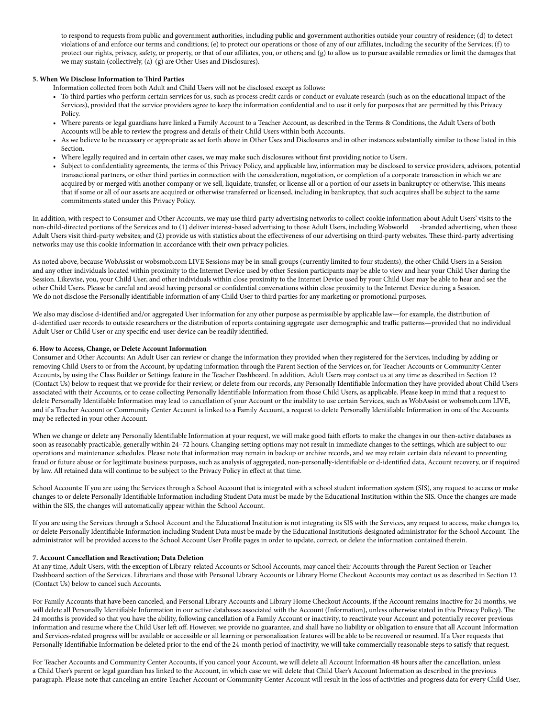to respond to requests from public and government authorities, including public and government authorities outside your country of residence; (d) to detect violations of and enforce our terms and conditions; (e) to protect our operations or those of any of our affiliates, including the security of the Services; (f) to protect our rights, privacy, safety, or property, or that of our affiliates, you, or others; and (g) to allow us to pursue available remedies or limit the damages that we may sustain (collectively, (a)-(g) are Other Uses and Disclosures).

# **5. When We Disclose Information to Third Parties**

Information collected from both Adult and Child Users will not be disclosed except as follows:

- To third parties who perform certain services for us, such as process credit cards or conduct or evaluate research (such as on the educational impact of the Services), provided that the service providers agree to keep the information confidential and to use it only for purposes that are permitted by this Privacy Policy.
- Where parents or legal guardians have linked a Family Account to a Teacher Account, as described in the Terms & Conditions, the Adult Users of both Accounts will be able to review the progress and details of their Child Users within both Accounts.
- As we believe to be necessary or appropriate as set forth above in Other Uses and Disclosures and in other instances substantially similar to those listed in this Section.
- Where legally required and in certain other cases, we may make such disclosures without first providing notice to Users.
- Subject to confidentiality agreements, the terms of this Privacy Policy, and applicable law, information may be disclosed to service providers, advisors, potential transactional partners, or other third parties in connection with the consideration, negotiation, or completion of a corporate transaction in which we are acquired by or merged with another company or we sell, liquidate, transfer, or license all or a portion of our assets in bankruptcy or otherwise. This means that if some or all of our assets are acquired or otherwise transferred or licensed, including in bankruptcy, that such acquires shall be subject to the same commitments stated under this Privacy Policy.

In addition, with respect to Consumer and Other Accounts, we may use third-party advertising networks to collect cookie information about Adult Users' visits to the non-child-directed portions of the Services and to (1) deliver interest-based advertising to those Adult Users, including Wobworld -branded advertising, when those Adult Users visit third-party websites; and (2) provide us with statistics about the effectiveness of our advertising on third-party websites. These third-party advertising networks may use this cookie information in accordance with their own privacy policies.

As noted above, because WobAssist or wobsmob.com LIVE Sessions may be in small groups (currently limited to four students), the other Child Users in a Session and any other individuals located within proximity to the Internet Device used by other Session participants may be able to view and hear your Child User during the Session. Likewise, you, your Child User, and other individuals within close proximity to the Internet Device used by your Child User may be able to hear and see the other Child Users. Please be careful and avoid having personal or confidential conversations within close proximity to the Internet Device during a Session. We do not disclose the Personally identifiable information of any Child User to third parties for any marketing or promotional purposes.

We also may disclose d-identified and/or aggregated User information for any other purpose as permissible by applicable law—for example, the distribution of d-identified user records to outside researchers or the distribution of reports containing aggregate user demographic and traffic patterns—provided that no individual Adult User or Child User or any specific end-user device can be readily identified.

#### **6. How to Access, Change, or Delete Account Information**

Consumer and Other Accounts: An Adult User can review or change the information they provided when they registered for the Services, including by adding or removing Child Users to or from the Account, by updating information through the Parent Section of the Services or, for Teacher Accounts or Community Center Accounts, by using the Class Builder or Settings feature in the Teacher Dashboard. In addition, Adult Users may contact us at any time as described in Section 12 (Contact Us) below to request that we provide for their review, or delete from our records, any Personally Identifiable Information they have provided about Child Users associated with their Accounts, or to cease collecting Personally Identifiable Information from those Child Users, as applicable. Please keep in mind that a request to delete Personally Identifiable Information may lead to cancellation of your Account or the inability to use certain Services, such as WobAssist or wobsmob.com LIVE, and if a Teacher Account or Community Center Account is linked to a Family Account, a request to delete Personally Identifiable Information in one of the Accounts may be reflected in your other Account.

When we change or delete any Personally Identifiable Information at your request, we will make good faith efforts to make the changes in our then-active databases as soon as reasonably practicable, generally within 24–72 hours. Changing setting options may not result in immediate changes to the settings, which are subject to our operations and maintenance schedules. Please note that information may remain in backup or archive records, and we may retain certain data relevant to preventing fraud or future abuse or for legitimate business purposes, such as analysis of aggregated, non-personally-identifiable or d-identified data, Account recovery, or if required by law. All retained data will continue to be subject to the Privacy Policy in effect at that time.

School Accounts: If you are using the Services through a School Account that is integrated with a school student information system (SIS), any request to access or make changes to or delete Personally Identifiable Information including Student Data must be made by the Educational Institution within the SIS. Once the changes are made within the SIS, the changes will automatically appear within the School Account.

If you are using the Services through a School Account and the Educational Institution is not integrating its SIS with the Services, any request to access, make changes to, or delete Personally Identifiable Information including Student Data must be made by the Educational Institution's designated administrator for the School Account. The administrator will be provided access to the School Account User Profile pages in order to update, correct, or delete the information contained therein.

# **7. Account Cancellation and Reactivation; Data Deletion**

At any time, Adult Users, with the exception of Library-related Accounts or School Accounts, may cancel their Accounts through the Parent Section or Teacher Dashboard section of the Services. Librarians and those with Personal Library Accounts or Library Home Checkout Accounts may contact us as described in Section 12 (Contact Us) below to cancel such Accounts.

For Family Accounts that have been canceled, and Personal Library Accounts and Library Home Checkout Accounts, if the Account remains inactive for 24 months, we will delete all Personally Identifiable Information in our active databases associated with the Account (Information), unless otherwise stated in this Privacy Policy). The 24 months is provided so that you have the ability, following cancellation of a Family Account or inactivity, to reactivate your Account and potentially recover previous information and resume where the Child User left off. However, we provide no guarantee, and shall have no liability or obligation to ensure that all Account Information and Services-related progress will be available or accessible or all learning or personalization features will be able to be recovered or resumed. If a User requests that Personally Identifiable Information be deleted prior to the end of the 24-month period of inactivity, we will take commercially reasonable steps to satisfy that request.

For Teacher Accounts and Community Center Accounts, if you cancel your Account, we will delete all Account Information 48 hours after the cancellation, unless a Child User's parent or legal guardian has linked to the Account, in which case we will delete that Child User's Account Information as described in the previous paragraph. Please note that canceling an entire Teacher Account or Community Center Account will result in the loss of activities and progress data for every Child User,